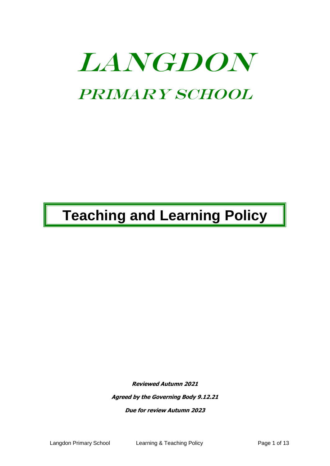# LANGDON PRIMARY SCHOOL

# **Teaching and Learning Policy**

**Reviewed Autumn 2021**

**Agreed by the Governing Body 9.12.21**

**Due for review Autumn 2023**

Langdon Primary School Learning & Teaching Policy Page 1 of 13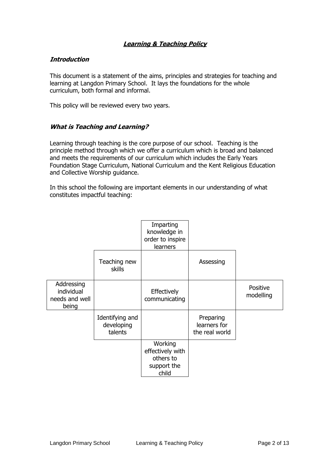# **Learning & Teaching Policy**

# **Introduction**

This document is a statement of the aims, principles and strategies for teaching and learning at Langdon Primary School. It lays the foundations for the whole curriculum, both formal and informal.

This policy will be reviewed every two years.

# **What is Teaching and Learning?**

Learning through teaching is the core purpose of our school. Teaching is the principle method through which we offer a curriculum which is broad and balanced and meets the requirements of our curriculum which includes the Early Years Foundation Stage Curriculum, National Curriculum and the Kent Religious Education and Collective Worship guidance.

In this school the following are important elements in our understanding of what constitutes impactful teaching:

|                                                     |                                          | Imparting<br>knowledge in<br>order to inspire<br>learners        |                                             |                       |
|-----------------------------------------------------|------------------------------------------|------------------------------------------------------------------|---------------------------------------------|-----------------------|
|                                                     | Teaching new<br><b>skills</b>            |                                                                  | Assessing                                   |                       |
| Addressing<br>individual<br>needs and well<br>being |                                          | Effectively<br>communicating                                     |                                             | Positive<br>modelling |
|                                                     | Identifying and<br>developing<br>talents |                                                                  | Preparing<br>learners for<br>the real world |                       |
|                                                     |                                          | Working<br>effectively with<br>others to<br>support the<br>child |                                             |                       |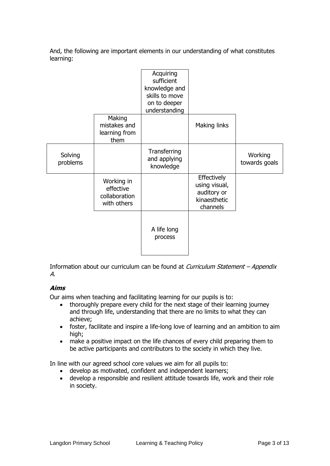And, the following are important elements in our understanding of what constitutes learning:

|                     |                                                         | Acquiring<br>sufficient<br>knowledge and<br>skills to move<br>on to deeper<br>understanding |                                                                         |                          |
|---------------------|---------------------------------------------------------|---------------------------------------------------------------------------------------------|-------------------------------------------------------------------------|--------------------------|
|                     | Making<br>mistakes and<br>learning from<br>them         |                                                                                             | Making links                                                            |                          |
| Solving<br>problems |                                                         | Transferring<br>and applying<br>knowledge                                                   |                                                                         | Working<br>towards goals |
|                     | Working in<br>effective<br>collaboration<br>with others |                                                                                             | Effectively<br>using visual,<br>auditory or<br>kinaesthetic<br>channels |                          |
|                     |                                                         | A life long<br>process                                                                      |                                                                         |                          |

Information about our curriculum can be found at *Curriculum Statement – Appendix* A.

# **Aims**

Our aims when teaching and facilitating learning for our pupils is to:

- thoroughly prepare every child for the next stage of their learning journey and through life, understanding that there are no limits to what they can achieve;
- foster, facilitate and inspire a life-long love of learning and an ambition to aim high;
- make a positive impact on the life chances of every child preparing them to be active participants and contributors to the society in which they live.

In line with our agreed school core values we aim for all pupils to:

- develop as motivated, confident and independent learners;
- develop a responsible and resilient attitude towards life, work and their role in society.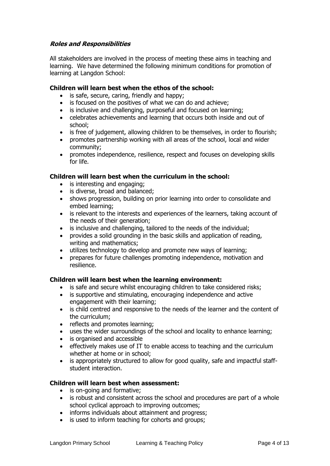# **Roles and Responsibilities**

All stakeholders are involved in the process of meeting these aims in teaching and learning. We have determined the following minimum conditions for promotion of learning at Langdon School:

#### **Children will learn best when the ethos of the school:**

- is safe, secure, caring, friendly and happy;
- is focused on the positives of what we can do and achieve;
- is inclusive and challenging, purposeful and focused on learning;
- celebrates achievements and learning that occurs both inside and out of school;
- is free of judgement, allowing children to be themselves, in order to flourish;
- promotes partnership working with all areas of the school, local and wider community;
- promotes independence, resilience, respect and focuses on developing skills for life.

# **Children will learn best when the curriculum in the school:**

- is interesting and engaging;
- is diverse, broad and balanced;
- shows progression, building on prior learning into order to consolidate and embed learning;
- is relevant to the interests and experiences of the learners, taking account of the needs of their generation;
- is inclusive and challenging, tailored to the needs of the individual;
- provides a solid grounding in the basic skills and application of reading, writing and mathematics;
- utilizes technology to develop and promote new ways of learning;
- prepares for future challenges promoting independence, motivation and resilience.

#### **Children will learn best when the learning environment:**

- is safe and secure whilst encouraging children to take considered risks;
- is supportive and stimulating, encouraging independence and active engagement with their learning;
- is child centred and responsive to the needs of the learner and the content of the curriculum;
- reflects and promotes learning;
- uses the wider surroundings of the school and locality to enhance learning;
- is organised and accessible
- effectively makes use of IT to enable access to teaching and the curriculum whether at home or in school;
- is appropriately structured to allow for good quality, safe and impactful staffstudent interaction.

#### **Children will learn best when assessment:**

- is on-going and formative;
- is robust and consistent across the school and procedures are part of a whole school cyclical approach to improving outcomes;
- informs individuals about attainment and progress;
- is used to inform teaching for cohorts and groups;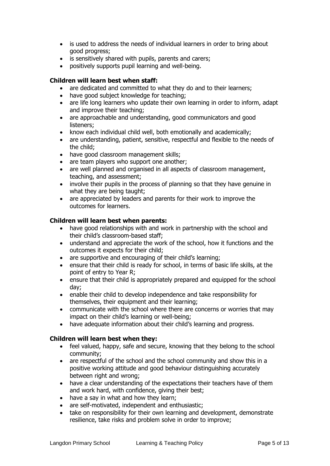- is used to address the needs of individual learners in order to bring about good progress;
- is sensitively shared with pupils, parents and carers;
- positively supports pupil learning and well-being.

# **Children will learn best when staff:**

- are dedicated and committed to what they do and to their learners;
- have good subject knowledge for teaching;
- are life long learners who update their own learning in order to inform, adapt and improve their teaching;
- are approachable and understanding, good communicators and good listeners;
- know each individual child well, both emotionally and academically;
- are understanding, patient, sensitive, respectful and flexible to the needs of the child;
- have good classroom management skills;
- are team players who support one another;
- are well planned and organised in all aspects of classroom management, teaching, and assessment;
- involve their pupils in the process of planning so that they have genuine in what they are being taught;
- are appreciated by leaders and parents for their work to improve the outcomes for learners.

#### **Children will learn best when parents:**

- have good relationships with and work in partnership with the school and their child's classroom-based staff;
- understand and appreciate the work of the school, how it functions and the outcomes it expects for their child;
- are supportive and encouraging of their child's learning;
- ensure that their child is ready for school, in terms of basic life skills, at the point of entry to Year R;
- ensure that their child is appropriately prepared and equipped for the school day;
- enable their child to develop independence and take responsibility for themselves, their equipment and their learning;
- communicate with the school where there are concerns or worries that may impact on their child's learning or well-being;
- have adequate information about their child's learning and progress.

#### **Children will learn best when they:**

- feel valued, happy, safe and secure, knowing that they belong to the school community;
- are respectful of the school and the school community and show this in a positive working attitude and good behaviour distinguishing accurately between right and wrong;
- have a clear understanding of the expectations their teachers have of them and work hard, with confidence, giving their best;
- have a say in what and how they learn;
- are self-motivated, independent and enthusiastic;
- take on responsibility for their own learning and development, demonstrate resilience, take risks and problem solve in order to improve;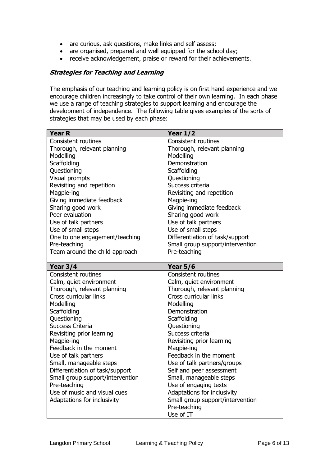- are curious, ask questions, make links and self assess;
- are organised, prepared and well equipped for the school day;
- receive acknowledgement, praise or reward for their achievements.

#### **Strategies for Teaching and Learning**

The emphasis of our teaching and learning policy is on first hand experience and we encourage children increasingly to take control of their own learning. In each phase we use a range of teaching strategies to support learning and encourage the development of independence. The following table gives examples of the sorts of strategies that may be used by each phase:

| Consistent routines<br><b>Consistent routines</b><br>Thorough, relevant planning<br>Thorough, relevant planning<br>Modelling<br>Modelling<br>Scaffolding<br>Demonstration |
|---------------------------------------------------------------------------------------------------------------------------------------------------------------------------|
|                                                                                                                                                                           |
|                                                                                                                                                                           |
|                                                                                                                                                                           |
|                                                                                                                                                                           |
| Questioning<br>Scaffolding                                                                                                                                                |
| Visual prompts<br>Questioning                                                                                                                                             |
| Success criteria<br>Revisiting and repetition                                                                                                                             |
| Revisiting and repetition<br>Magpie-ing                                                                                                                                   |
| Giving immediate feedback<br>Magpie-ing                                                                                                                                   |
| Sharing good work<br>Giving immediate feedback                                                                                                                            |
| Sharing good work<br>Peer evaluation                                                                                                                                      |
| Use of talk partners<br>Use of talk partners                                                                                                                              |
| Use of small steps<br>Use of small steps                                                                                                                                  |
| One to one engagement/teaching<br>Differentiation of task/support                                                                                                         |
| Pre-teaching<br>Small group support/intervention                                                                                                                          |
| Pre-teaching<br>Team around the child approach                                                                                                                            |
|                                                                                                                                                                           |
| <b>Year 3/4</b><br>Year $5/6$                                                                                                                                             |
| <b>Consistent routines</b><br><b>Consistent routines</b>                                                                                                                  |
| Calm, quiet environment<br>Calm, quiet environment                                                                                                                        |
| Thorough, relevant planning<br>Thorough, relevant planning<br>Cross curricular links<br>Cross curricular links                                                            |
|                                                                                                                                                                           |
| Modelling<br>Modelling<br>Scaffolding<br>Demonstration                                                                                                                    |
| Questioning<br>Scaffolding                                                                                                                                                |
| <b>Success Criteria</b><br>Questioning                                                                                                                                    |
| Success criteria                                                                                                                                                          |
| Revisiting prior learning<br>Magpie-ing<br>Revisiting prior learning                                                                                                      |
| Feedback in the moment<br>Magpie-ing                                                                                                                                      |
| Use of talk partners<br>Feedback in the moment                                                                                                                            |
| Small, manageable steps<br>Use of talk partners/groups                                                                                                                    |
| Differentiation of task/support<br>Self and peer assessment                                                                                                               |
| Small group support/intervention<br>Small, manageable steps                                                                                                               |
| Pre-teaching<br>Use of engaging texts                                                                                                                                     |
| Use of music and visual cues<br>Adaptations for inclusivity                                                                                                               |
| Adaptations for inclusivity<br>Small group support/intervention                                                                                                           |
| Pre-teaching                                                                                                                                                              |
| Use of IT                                                                                                                                                                 |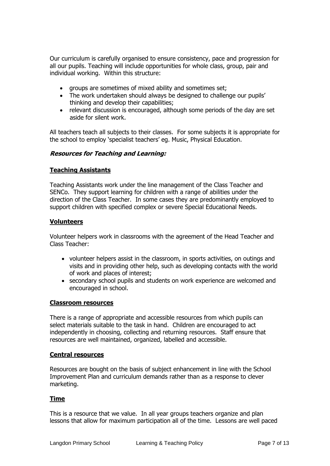Our curriculum is carefully organised to ensure consistency, pace and progression for all our pupils. Teaching will include opportunities for whole class, group, pair and individual working. Within this structure:

- groups are sometimes of mixed ability and sometimes set;
- The work undertaken should always be designed to challenge our pupils' thinking and develop their capabilities;
- relevant discussion is encouraged, although some periods of the day are set aside for silent work.

All teachers teach all subjects to their classes. For some subjects it is appropriate for the school to employ 'specialist teachers' eg. Music, Physical Education.

#### **Resources for Teaching and Learning:**

# **Teaching Assistants**

Teaching Assistants work under the line management of the Class Teacher and SENCo. They support learning for children with a range of abilities under the direction of the Class Teacher. In some cases they are predominantly employed to support children with specified complex or severe Special Educational Needs.

#### **Volunteers**

Volunteer helpers work in classrooms with the agreement of the Head Teacher and Class Teacher:

- volunteer helpers assist in the classroom, in sports activities, on outings and visits and in providing other help, such as developing contacts with the world of work and places of interest;
- secondary school pupils and students on work experience are welcomed and encouraged in school.

#### **Classroom resources**

There is a range of appropriate and accessible resources from which pupils can select materials suitable to the task in hand. Children are encouraged to act independently in choosing, collecting and returning resources. Staff ensure that resources are well maintained, organized, labelled and accessible.

#### **Central resources**

Resources are bought on the basis of subject enhancement in line with the School Improvement Plan and curriculum demands rather than as a response to clever marketing.

#### **Time**

This is a resource that we value. In all year groups teachers organize and plan lessons that allow for maximum participation all of the time. Lessons are well paced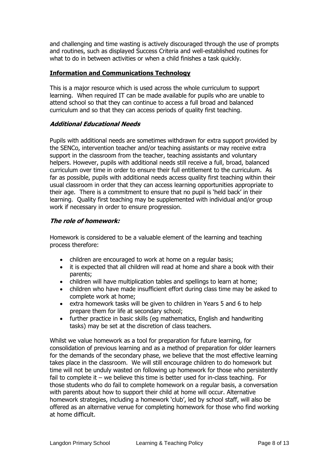and challenging and time wasting is actively discouraged through the use of prompts and routines, such as displayed Success Criteria and well-established routines for what to do in between activities or when a child finishes a task quickly.

# **Information and Communications Technology**

This is a major resource which is used across the whole curriculum to support learning. When required IT can be made available for pupils who are unable to attend school so that they can continue to access a full broad and balanced curriculum and so that they can access periods of quality first teaching.

# **Additional Educational Needs**

Pupils with additional needs are sometimes withdrawn for extra support provided by the SENCo, intervention teacher and/or teaching assistants or may receive extra support in the classroom from the teacher, teaching assistants and voluntary helpers. However, pupils with additional needs still receive a full, broad, balanced curriculum over time in order to ensure their full entitlement to the curriculum. As far as possible, pupils with additional needs access quality first teaching within their usual classroom in order that they can access learning opportunities appropriate to their age. There is a commitment to ensure that no pupil is 'held back' in their learning. Quality first teaching may be supplemented with individual and/or group work if necessary in order to ensure progression.

# **The role of homework:**

Homework is considered to be a valuable element of the learning and teaching process therefore:

- children are encouraged to work at home on a regular basis;
- it is expected that all children will read at home and share a book with their parents;
- children will have multiplication tables and spellings to learn at home;
- children who have made insufficient effort during class time may be asked to complete work at home;
- extra homework tasks will be given to children in Years 5 and 6 to help prepare them for life at secondary school;
- further practice in basic skills (eg mathematics, English and handwriting tasks) may be set at the discretion of class teachers.

Whilst we value homework as a tool for preparation for future learning, for consolidation of previous learning and as a method of preparation for older learners for the demands of the secondary phase, we believe that the most effective learning takes place in the classroom. We will still encourage children to do homework but time will not be unduly wasted on following up homework for those who persistently fail to complete it – we believe this time is better used for in-class teaching. For those students who do fail to complete homework on a regular basis, a conversation with parents about how to support their child at home will occur. Alternative homework strategies, including a homework 'club', led by school staff, will also be offered as an alternative venue for completing homework for those who find working at home difficult.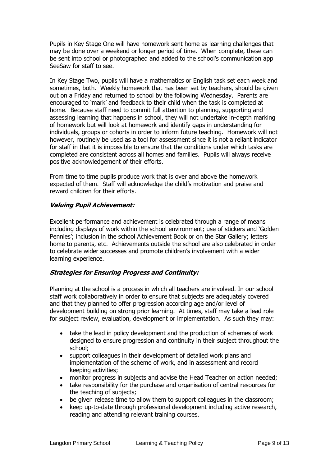Pupils in Key Stage One will have homework sent home as learning challenges that may be done over a weekend or longer period of time. When complete, these can be sent into school or photographed and added to the school's communication app SeeSaw for staff to see.

In Key Stage Two, pupils will have a mathematics or English task set each week and sometimes, both. Weekly homework that has been set by teachers, should be given out on a Friday and returned to school by the following Wednesday. Parents are encouraged to 'mark' and feedback to their child when the task is completed at home. Because staff need to commit full attention to planning, supporting and assessing learning that happens in school, they will not undertake in-depth marking of homework but will look at homework and identify gaps in understanding for individuals, groups or cohorts in order to inform future teaching. Homework will not however, routinely be used as a tool for assessment since it is not a reliant indicator for staff in that it is impossible to ensure that the conditions under which tasks are completed are consistent across all homes and families. Pupils will always receive positive acknowledgement of their efforts.

From time to time pupils produce work that is over and above the homework expected of them. Staff will acknowledge the child's motivation and praise and reward children for their efforts.

# **Valuing Pupil Achievement:**

Excellent performance and achievement is celebrated through a range of means including displays of work within the school environment; use of stickers and 'Golden Pennies'; inclusion in the school Achievement Book or on the Star Gallery; letters home to parents, etc. Achievements outside the school are also celebrated in order to celebrate wider successes and promote children's involvement with a wider learning experience.

#### **Strategies for Ensuring Progress and Continuity:**

Planning at the school is a process in which all teachers are involved. In our school staff work collaboratively in order to ensure that subjects are adequately covered and that they planned to offer progression according age and/or level of development building on strong prior learning. At times, staff may take a lead role for subject review, evaluation, development or implementation. As such they may:

- take the lead in policy development and the production of schemes of work designed to ensure progression and continuity in their subject throughout the school;
- support colleagues in their development of detailed work plans and implementation of the scheme of work, and in assessment and record keeping activities;
- monitor progress in subjects and advise the Head Teacher on action needed;
- take responsibility for the purchase and organisation of central resources for the teaching of subjects;
- be given release time to allow them to support colleagues in the classroom;
- keep up-to-date through professional development including active research, reading and attending relevant training courses.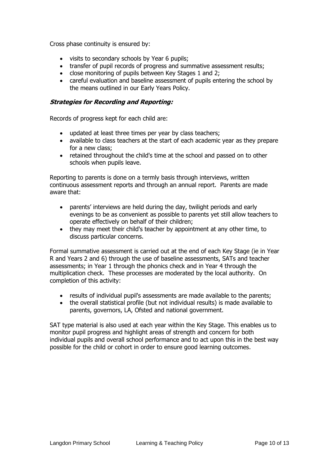Cross phase continuity is ensured by:

- visits to secondary schools by Year 6 pupils;
- transfer of pupil records of progress and summative assessment results;
- close monitoring of pupils between Key Stages 1 and 2;
- careful evaluation and baseline assessment of pupils entering the school by the means outlined in our Early Years Policy.

# **Strategies for Recording and Reporting:**

Records of progress kept for each child are:

- updated at least three times per year by class teachers;
- available to class teachers at the start of each academic year as they prepare for a new class;
- retained throughout the child's time at the school and passed on to other schools when pupils leave.

Reporting to parents is done on a termly basis through interviews, written continuous assessment reports and through an annual report. Parents are made aware that:

- parents' interviews are held during the day, twilight periods and early evenings to be as convenient as possible to parents yet still allow teachers to operate effectively on behalf of their children;
- they may meet their child's teacher by appointment at any other time, to discuss particular concerns.

Formal summative assessment is carried out at the end of each Key Stage (ie in Year R and Years 2 and 6) through the use of baseline assessments, SATs and teacher assessments; in Year 1 through the phonics check and in Year 4 through the multiplication check. These processes are moderated by the local authority. On completion of this activity:

- results of individual pupil's assessments are made available to the parents;
- the overall statistical profile (but not individual results) is made available to parents, governors, LA, Ofsted and national government.

SAT type material is also used at each year within the Key Stage. This enables us to monitor pupil progress and highlight areas of strength and concern for both individual pupils and overall school performance and to act upon this in the best way possible for the child or cohort in order to ensure good learning outcomes.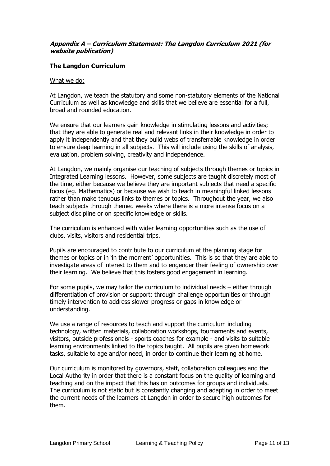# **Appendix A – Curriculum Statement: The Langdon Curriculum 2021 (for website publication)**

# **The Langdon Curriculum**

#### What we do:

At Langdon, we teach the statutory and some non-statutory elements of the National Curriculum as well as knowledge and skills that we believe are essential for a full, broad and rounded education.

We ensure that our learners gain knowledge in stimulating lessons and activities; that they are able to generate real and relevant links in their knowledge in order to apply it independently and that they build webs of transferrable knowledge in order to ensure deep learning in all subjects. This will include using the skills of analysis, evaluation, problem solving, creativity and independence.

At Langdon, we mainly organise our teaching of subjects through themes or topics in Integrated Learning lessons. However, some subjects are taught discretely most of the time, either because we believe they are important subjects that need a specific focus (eg. Mathematics) or because we wish to teach in meaningful linked lessons rather than make tenuous links to themes or topics. Throughout the year, we also teach subjects through themed weeks where there is a more intense focus on a subject discipline or on specific knowledge or skills.

The curriculum is enhanced with wider learning opportunities such as the use of clubs, visits, visitors and residential trips.

Pupils are encouraged to contribute to our curriculum at the planning stage for themes or topics or in 'in the moment' opportunities. This is so that they are able to investigate areas of interest to them and to engender their feeling of ownership over their learning. We believe that this fosters good engagement in learning.

For some pupils, we may tailor the curriculum to individual needs – either through differentiation of provision or support; through challenge opportunities or through timely intervention to address slower progress or gaps in knowledge or understanding.

We use a range of resources to teach and support the curriculum including technology, written materials, collaboration workshops, tournaments and events, visitors, outside professionals - sports coaches for example - and visits to suitable learning environments linked to the topics taught. All pupils are given homework tasks, suitable to age and/or need, in order to continue their learning at home.

Our curriculum is monitored by governors, staff, collaboration colleagues and the Local Authority in order that there is a constant focus on the quality of learning and teaching and on the impact that this has on outcomes for groups and individuals. The curriculum is not static but is constantly changing and adapting in order to meet the current needs of the learners at Langdon in order to secure high outcomes for them.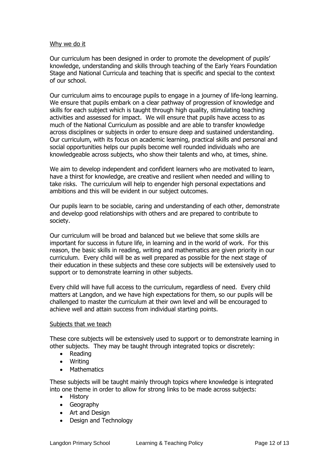#### Why we do it

Our curriculum has been designed in order to promote the development of pupils' knowledge, understanding and skills through teaching of the Early Years Foundation Stage and National Curricula and teaching that is specific and special to the context of our school.

Our curriculum aims to encourage pupils to engage in a journey of life-long learning. We ensure that pupils embark on a clear pathway of progression of knowledge and skills for each subject which is taught through high quality, stimulating teaching activities and assessed for impact. We will ensure that pupils have access to as much of the National Curriculum as possible and are able to transfer knowledge across disciplines or subjects in order to ensure deep and sustained understanding. Our curriculum, with its focus on academic learning, practical skills and personal and social opportunities helps our pupils become well rounded individuals who are knowledgeable across subjects, who show their talents and who, at times, shine.

We aim to develop independent and confident learners who are motivated to learn, have a thirst for knowledge, are creative and resilient when needed and willing to take risks. The curriculum will help to engender high personal expectations and ambitions and this will be evident in our subject outcomes.

Our pupils learn to be sociable, caring and understanding of each other, demonstrate and develop good relationships with others and are prepared to contribute to society.

Our curriculum will be broad and balanced but we believe that some skills are important for success in future life, in learning and in the world of work. For this reason, the basic skills in reading, writing and mathematics are given priority in our curriculum. Every child will be as well prepared as possible for the next stage of their education in these subjects and these core subjects will be extensively used to support or to demonstrate learning in other subjects.

Every child will have full access to the curriculum, regardless of need. Every child matters at Langdon, and we have high expectations for them, so our pupils will be challenged to master the curriculum at their own level and will be encouraged to achieve well and attain success from individual starting points.

#### Subjects that we teach

These core subjects will be extensively used to support or to demonstrate learning in other subjects. They may be taught through integrated topics or discretely:

- Reading
- Writing
- Mathematics

These subjects will be taught mainly through topics where knowledge is integrated into one theme in order to allow for strong links to be made across subjects:

- History
- Geography
- Art and Design
- Design and Technology